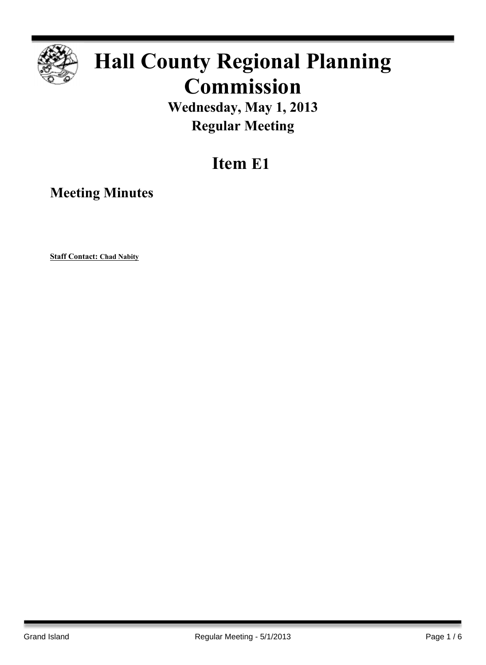

# **Hall County Regional Planning Commission**

**Wednesday, May 1, 2013 Regular Meeting**

# **Item E1**

**Meeting Minutes**

**Staff Contact: Chad Nabity**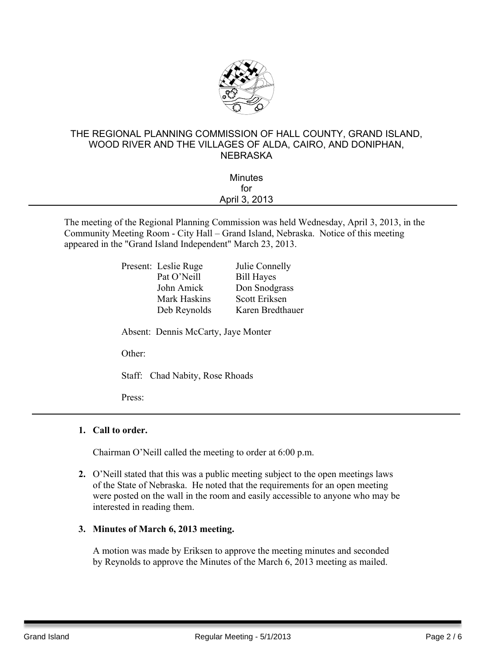

## THE REGIONAL PLANNING COMMISSION OF HALL COUNTY, GRAND ISLAND, WOOD RIVER AND THE VILLAGES OF ALDA, CAIRO, AND DONIPHAN, NEBRASKA

| <b>Minutes</b> |  |
|----------------|--|
| for            |  |
| April 3, 2013  |  |
|                |  |

The meeting of the Regional Planning Commission was held Wednesday, April 3, 2013, in the Community Meeting Room - City Hall – Grand Island, Nebraska. Notice of this meeting appeared in the "Grand Island Independent" March 23, 2013.

| Present: Leslie Ruge                | Julie Connelly    |
|-------------------------------------|-------------------|
| Pat O'Neill                         | <b>Bill Hayes</b> |
| John Amick                          | Don Snodgrass     |
| Mark Haskins                        | Scott Eriksen     |
| Deb Reynolds                        | Karen Bredthauer  |
| Absent: Dennis McCarty, Jaye Monter |                   |

Other:

Staff: Chad Nabity, Rose Rhoads

Press:

### **1. Call to order.**

Chairman O'Neill called the meeting to order at 6:00 p.m.

**2.** O'Neill stated that this was a public meeting subject to the open meetings laws of the State of Nebraska. He noted that the requirements for an open meeting were posted on the wall in the room and easily accessible to anyone who may be interested in reading them.

#### **3. Minutes of March 6, 2013 meeting.**

A motion was made by Eriksen to approve the meeting minutes and seconded by Reynolds to approve the Minutes of the March 6, 2013 meeting as mailed.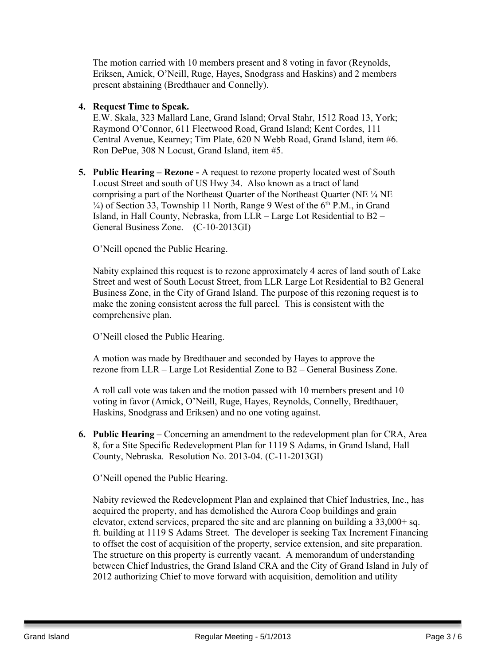The motion carried with 10 members present and 8 voting in favor (Reynolds, Eriksen, Amick, O'Neill, Ruge, Hayes, Snodgrass and Haskins) and 2 members present abstaining (Bredthauer and Connelly).

#### **4. Request Time to Speak.**

E.W. Skala, 323 Mallard Lane, Grand Island; Orval Stahr, 1512 Road 13, York; Raymond O'Connor, 611 Fleetwood Road, Grand Island; Kent Cordes, 111 Central Avenue, Kearney; Tim Plate, 620 N Webb Road, Grand Island, item #6. Ron DePue, 308 N Locust, Grand Island, item #5.

**5. Public Hearing – Rezone -** A request to rezone property located west of South Locust Street and south of US Hwy 34. Also known as a tract of land comprising a part of the Northeast Quarter of the Northeast Quarter (NE ¼ NE  $\frac{1}{4}$ ) of Section 33, Township 11 North, Range 9 West of the 6<sup>th</sup> P.M., in Grand Island, in Hall County, Nebraska, from LLR – Large Lot Residential to B2 – General Business Zone. (C-10-2013GI)

O'Neill opened the Public Hearing.

Nabity explained this request is to rezone approximately 4 acres of land south of Lake Street and west of South Locust Street, from LLR Large Lot Residential to B2 General Business Zone, in the City of Grand Island. The purpose of this rezoning request is to make the zoning consistent across the full parcel. This is consistent with the comprehensive plan.

O'Neill closed the Public Hearing.

A motion was made by Bredthauer and seconded by Hayes to approve the rezone from LLR – Large Lot Residential Zone to B2 – General Business Zone.

A roll call vote was taken and the motion passed with 10 members present and 10 voting in favor (Amick, O'Neill, Ruge, Hayes, Reynolds, Connelly, Bredthauer, Haskins, Snodgrass and Eriksen) and no one voting against.

**6. Public Hearing** – Concerning an amendment to the redevelopment plan for CRA, Area 8, for a Site Specific Redevelopment Plan for 1119 S Adams, in Grand Island, Hall County, Nebraska. Resolution No. 2013-04. (C-11-2013GI)

O'Neill opened the Public Hearing.

Nabity reviewed the Redevelopment Plan and explained that Chief Industries, Inc., has acquired the property, and has demolished the Aurora Coop buildings and grain elevator, extend services, prepared the site and are planning on building a 33,000+ sq. ft. building at 1119 S Adams Street. The developer is seeking Tax Increment Financing to offset the cost of acquisition of the property, service extension, and site preparation. The structure on this property is currently vacant. A memorandum of understanding between Chief Industries, the Grand Island CRA and the City of Grand Island in July of 2012 authorizing Chief to move forward with acquisition, demolition and utility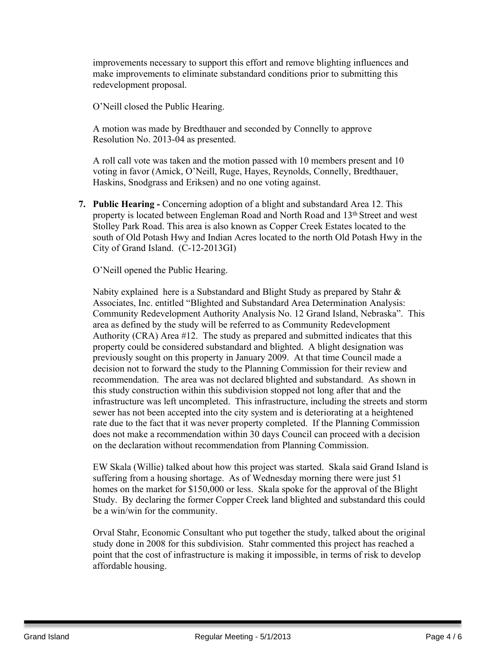improvements necessary to support this effort and remove blighting influences and make improvements to eliminate substandard conditions prior to submitting this redevelopment proposal.

O'Neill closed the Public Hearing.

A motion was made by Bredthauer and seconded by Connelly to approve Resolution No. 2013-04 as presented.

A roll call vote was taken and the motion passed with 10 members present and 10 voting in favor (Amick, O'Neill, Ruge, Hayes, Reynolds, Connelly, Bredthauer, Haskins, Snodgrass and Eriksen) and no one voting against.

**7. Public Hearing -** Concerning adoption of a blight and substandard Area 12. This property is located between Engleman Road and North Road and 13th Street and west Stolley Park Road. This area is also known as Copper Creek Estates located to the south of Old Potash Hwy and Indian Acres located to the north Old Potash Hwy in the City of Grand Island. (C-12-2013GI)

O'Neill opened the Public Hearing.

Nabity explained here is a Substandard and Blight Study as prepared by Stahr & Associates, Inc. entitled "Blighted and Substandard Area Determination Analysis: Community Redevelopment Authority Analysis No. 12 Grand Island, Nebraska". This area as defined by the study will be referred to as Community Redevelopment Authority (CRA) Area #12. The study as prepared and submitted indicates that this property could be considered substandard and blighted. A blight designation was previously sought on this property in January 2009. At that time Council made a decision not to forward the study to the Planning Commission for their review and recommendation. The area was not declared blighted and substandard. As shown in this study construction within this subdivision stopped not long after that and the infrastructure was left uncompleted. This infrastructure, including the streets and storm sewer has not been accepted into the city system and is deteriorating at a heightened rate due to the fact that it was never property completed. If the Planning Commission does not make a recommendation within 30 days Council can proceed with a decision on the declaration without recommendation from Planning Commission.

EW Skala (Willie) talked about how this project was started. Skala said Grand Island is suffering from a housing shortage. As of Wednesday morning there were just 51 homes on the market for \$150,000 or less. Skala spoke for the approval of the Blight Study. By declaring the former Copper Creek land blighted and substandard this could be a win/win for the community.

Orval Stahr, Economic Consultant who put together the study, talked about the original study done in 2008 for this subdivision. Stahr commented this project has reached a point that the cost of infrastructure is making it impossible, in terms of risk to develop affordable housing.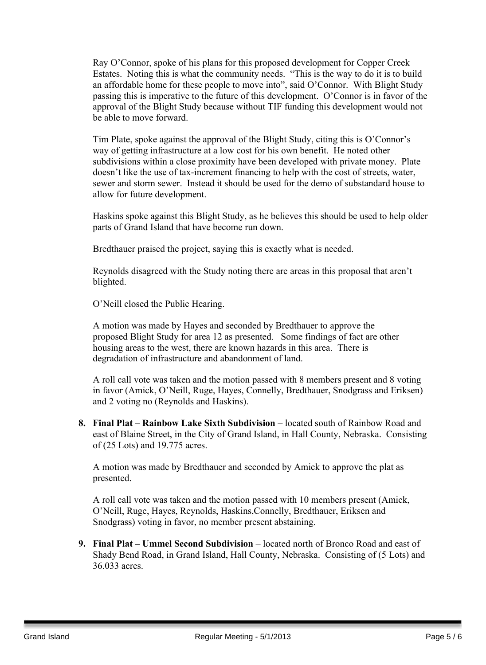Ray O'Connor, spoke of his plans for this proposed development for Copper Creek Estates. Noting this is what the community needs. "This is the way to do it is to build an affordable home for these people to move into", said O'Connor. With Blight Study passing this is imperative to the future of this development. O'Connor is in favor of the approval of the Blight Study because without TIF funding this development would not be able to move forward.

Tim Plate, spoke against the approval of the Blight Study, citing this is O'Connor's way of getting infrastructure at a low cost for his own benefit. He noted other subdivisions within a close proximity have been developed with private money. Plate doesn't like the use of tax-increment financing to help with the cost of streets, water, sewer and storm sewer. Instead it should be used for the demo of substandard house to allow for future development.

Haskins spoke against this Blight Study, as he believes this should be used to help older parts of Grand Island that have become run down.

Bredthauer praised the project, saying this is exactly what is needed.

Reynolds disagreed with the Study noting there are areas in this proposal that aren't blighted.

O'Neill closed the Public Hearing.

A motion was made by Hayes and seconded by Bredthauer to approve the proposed Blight Study for area 12 as presented. Some findings of fact are other housing areas to the west, there are known hazards in this area. There is degradation of infrastructure and abandonment of land.

A roll call vote was taken and the motion passed with 8 members present and 8 voting in favor (Amick, O'Neill, Ruge, Hayes, Connelly, Bredthauer, Snodgrass and Eriksen) and 2 voting no (Reynolds and Haskins).

**8. Final Plat – Rainbow Lake Sixth Subdivision** – located south of Rainbow Road and east of Blaine Street, in the City of Grand Island, in Hall County, Nebraska. Consisting of (25 Lots) and 19.775 acres.

A motion was made by Bredthauer and seconded by Amick to approve the plat as presented.

A roll call vote was taken and the motion passed with 10 members present (Amick, O'Neill, Ruge, Hayes, Reynolds, Haskins,Connelly, Bredthauer, Eriksen and Snodgrass) voting in favor, no member present abstaining.

**9. Final Plat – Ummel Second Subdivision** – located north of Bronco Road and east of Shady Bend Road, in Grand Island, Hall County, Nebraska. Consisting of (5 Lots) and 36.033 acres.